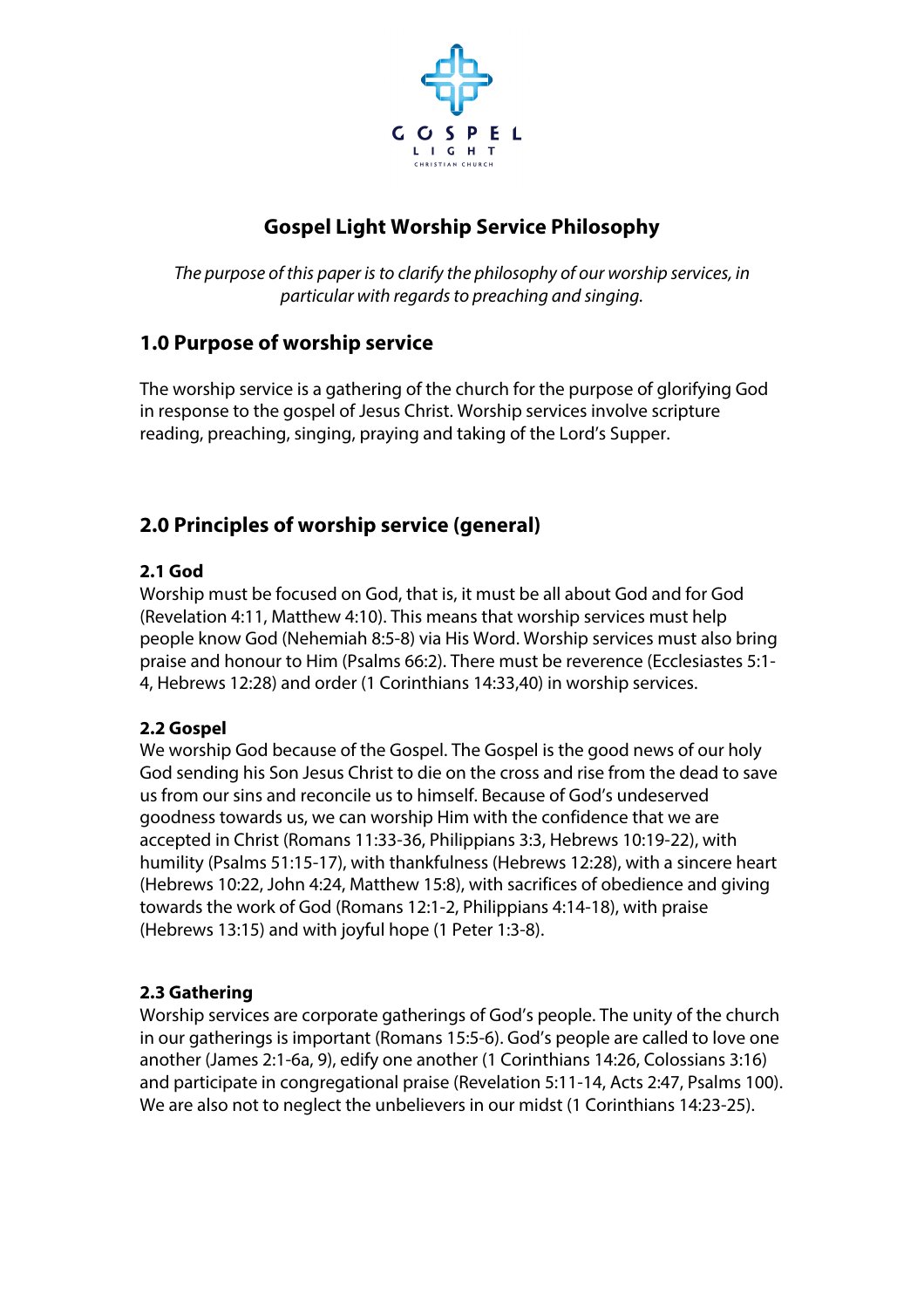

# **Gospel Light Worship Service Philosophy**

*The purpose of this paper is to clarify the philosophy of our worship services, in particular with regards to preaching and singing.*

# **1.0 Purpose of worship service**

The worship service is a gathering of the church for the purpose of glorifying God in response to the gospel of Jesus Christ. Worship services involve scripture reading, preaching, singing, praying and taking of the Lord's Supper.

# **2.0 Principles of worship service (general)**

# **2.1 God**

Worship must be focused on God, that is, it must be all about God and for God (Revelation 4:11, Matthew 4:10). This means that worship services must help people know God (Nehemiah 8:5-8) via His Word. Worship services must also bring praise and honour to Him (Psalms 66:2). There must be reverence (Ecclesiastes 5:1- 4, Hebrews 12:28) and order (1 Corinthians 14:33,40) in worship services.

# **2.2 Gospel**

We worship God because of the Gospel. The Gospel is the good news of our holy God sending his Son Jesus Christ to die on the cross and rise from the dead to save us from our sins and reconcile us to himself. Because of God's undeserved goodness towards us, we can worship Him with the confidence that we are accepted in Christ (Romans 11:33-36, Philippians 3:3, Hebrews 10:19-22), with humility (Psalms 51:15-17), with thankfulness (Hebrews 12:28), with a sincere heart (Hebrews 10:22, John 4:24, Matthew 15:8), with sacrifices of obedience and giving towards the work of God (Romans 12:1-2, Philippians 4:14-18), with praise (Hebrews 13:15) and with joyful hope (1 Peter 1:3-8).

# **2.3 Gathering**

Worship services are corporate gatherings of God's people. The unity of the church in our gatherings is important (Romans 15:5-6). God's people are called to love one another (James 2:1-6a, 9), edify one another (1 Corinthians 14:26, Colossians 3:16) and participate in congregational praise (Revelation 5:11-14, Acts 2:47, Psalms 100). We are also not to neglect the unbelievers in our midst (1 Corinthians 14:23-25).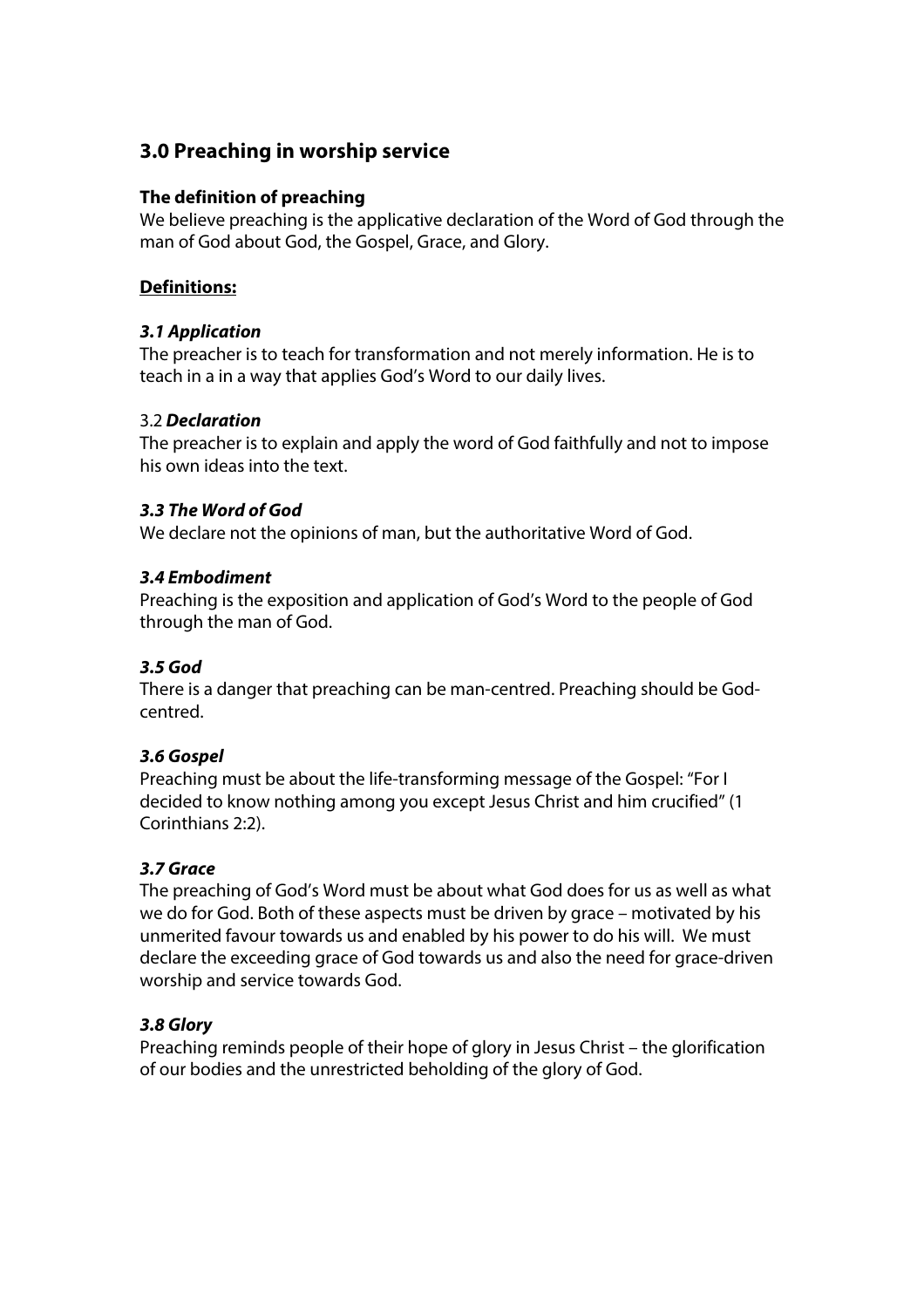# **3.0 Preaching in worship service**

## **The definition of preaching**

We believe preaching is the applicative declaration of the Word of God through the man of God about God, the Gospel, Grace, and Glory.

# **Definitions:**

# *3.1 Application*

The preacher is to teach for transformation and not merely information. He is to teach in a in a way that applies God's Word to our daily lives.

# 3.2 *Declaration*

The preacher is to explain and apply the word of God faithfully and not to impose his own ideas into the text.

# *3.3 The Word of God*

We declare not the opinions of man, but the authoritative Word of God.

# *3.4 Embodiment*

Preaching is the exposition and application of God's Word to the people of God through the man of God.

# *3.5 God*

There is a danger that preaching can be man-centred. Preaching should be Godcentred.

### *3.6 Gospel*

Preaching must be about the life-transforming message of the Gospel: "For I decided to know nothing among you except Jesus Christ and him crucified" (1 Corinthians 2:2).

# *3.7 Grace*

The preaching of God's Word must be about what God does for us as well as what we do for God. Both of these aspects must be driven by grace – motivated by his unmerited favour towards us and enabled by his power to do his will. We must declare the exceeding grace of God towards us and also the need for grace-driven worship and service towards God.

### *3.8 Glory*

Preaching reminds people of their hope of glory in Jesus Christ – the glorification of our bodies and the unrestricted beholding of the glory of God.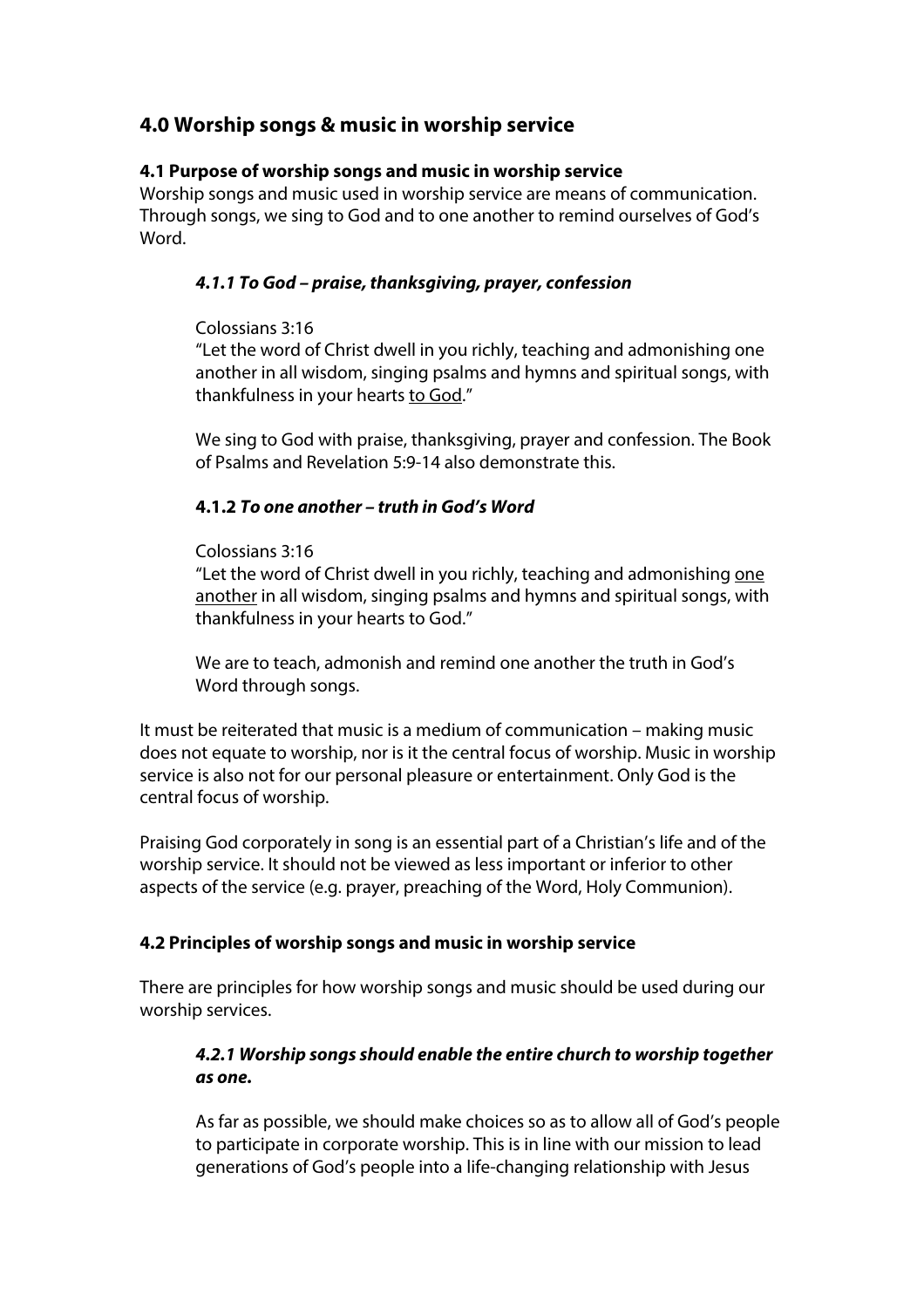# **4.0 Worship songs & music in worship service**

# **4.1 Purpose of worship songs and music in worship service**

Worship songs and music used in worship service are means of communication. Through songs, we sing to God and to one another to remind ourselves of God's Word.

# *4.1.1 To God – praise, thanksgiving, prayer, confession*

### Colossians 3:16

"Let the word of Christ dwell in you richly, teaching and admonishing one another in all wisdom, singing psalms and hymns and spiritual songs, with thankfulness in your hearts to God."

We sing to God with praise, thanksgiving, prayer and confession. The Book of Psalms and Revelation 5:9-14 also demonstrate this.

# **4.1.2** *To one another – truth in God's Word*

### Colossians 3:16

"Let the word of Christ dwell in you richly, teaching and admonishing one another in all wisdom, singing psalms and hymns and spiritual songs, with thankfulness in your hearts to God."

We are to teach, admonish and remind one another the truth in God's Word through songs.

It must be reiterated that music is a medium of communication – making music does not equate to worship, nor is it the central focus of worship. Music in worship service is also not for our personal pleasure or entertainment. Only God is the central focus of worship.

Praising God corporately in song is an essential part of a Christian's life and of the worship service. It should not be viewed as less important or inferior to other aspects of the service (e.g. prayer, preaching of the Word, Holy Communion).

### **4.2 Principles of worship songs and music in worship service**

There are principles for how worship songs and music should be used during our worship services.

# *4.2.1 Worship songs should enable the entire church to worship together as one.*

As far as possible, we should make choices so as to allow all of God's people to participate in corporate worship. This is in line with our mission to lead generations of God's people into a life-changing relationship with Jesus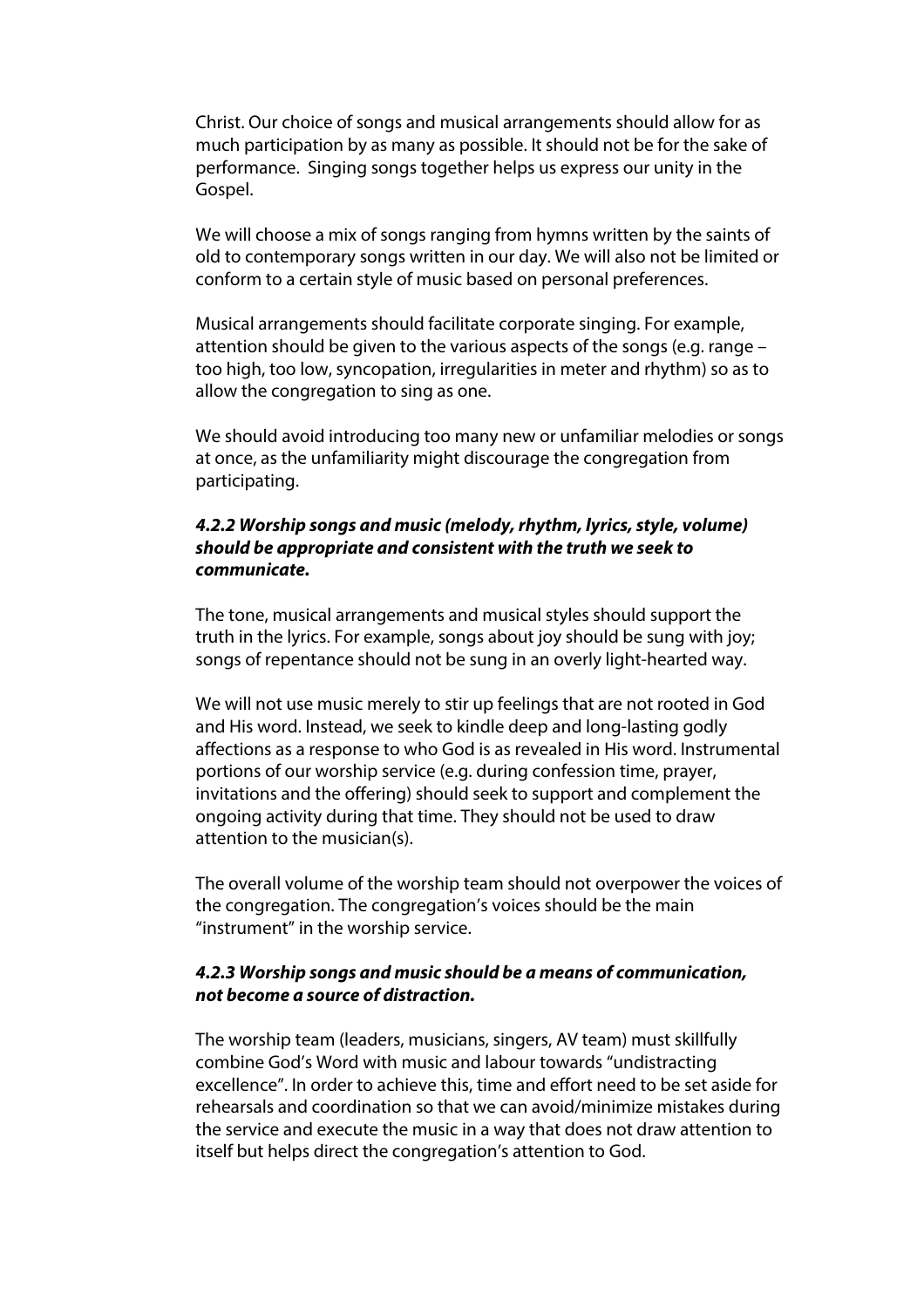Christ. Our choice of songs and musical arrangements should allow for as much participation by as many as possible. It should not be for the sake of performance. Singing songs together helps us express our unity in the Gospel.

We will choose a mix of songs ranging from hymns written by the saints of old to contemporary songs written in our day. We will also not be limited or conform to a certain style of music based on personal preferences.

Musical arrangements should facilitate corporate singing. For example, attention should be given to the various aspects of the songs (e.g. range – too high, too low, syncopation, irregularities in meter and rhythm) so as to allow the congregation to sing as one.

We should avoid introducing too many new or unfamiliar melodies or songs at once, as the unfamiliarity might discourage the congregation from participating.

### *4.2.2 Worship songs and music (melody, rhythm, lyrics, style, volume) should be appropriate and consistent with the truth we seek to communicate.*

The tone, musical arrangements and musical styles should support the truth in the lyrics. For example, songs about joy should be sung with joy; songs of repentance should not be sung in an overly light-hearted way.

We will not use music merely to stir up feelings that are not rooted in God and His word. Instead, we seek to kindle deep and long-lasting godly affections as a response to who God is as revealed in His word. Instrumental portions of our worship service (e.g. during confession time, prayer, invitations and the offering) should seek to support and complement the ongoing activity during that time. They should not be used to draw attention to the musician(s).

The overall volume of the worship team should not overpower the voices of the congregation. The congregation's voices should be the main "instrument" in the worship service.

### *4.2.3 Worship songs and music should be a means of communication, not become a source of distraction.*

The worship team (leaders, musicians, singers, AV team) must skillfully combine God's Word with music and labour towards "undistracting excellence". In order to achieve this, time and effort need to be set aside for rehearsals and coordination so that we can avoid/minimize mistakes during the service and execute the music in a way that does not draw attention to itself but helps direct the congregation's attention to God.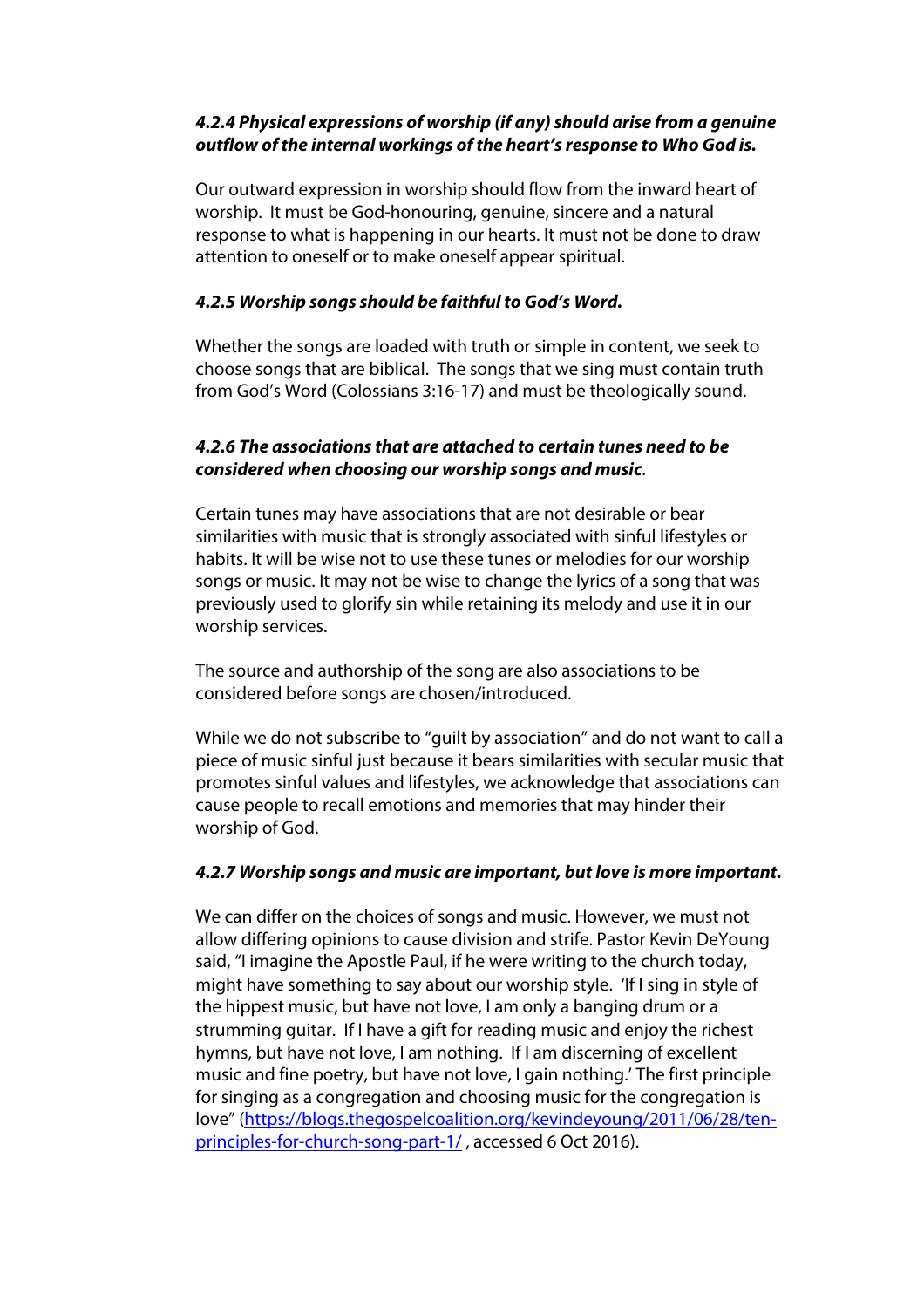# *4.2.4 Physical expressions of worship (if any) should arise from a genuine outflow of the internal workings of the heart's response to Who God is.*

Our outward expression in worship should flow from the inward heart of worship. It must be God-honouring, genuine, sincere and a natural response to what is happening in our hearts. It must not be done to draw attention to oneself or to make oneself appear spiritual.

# *4.2.5 Worship songs should be faithful to God's Word.*

Whether the songs are loaded with truth or simple in content, we seek to choose songs that are biblical. The songs that we sing must contain truth from God's Word (Colossians 3:16-17) and must be theologically sound.

## *4.2.6 The associations that are attached to certain tunes need to be considered when choosing our worship songs and music*.

Certain tunes may have associations that are not desirable or bear similarities with music that is strongly associated with sinful lifestyles or habits. It will be wise not to use these tunes or melodies for our worship songs or music. It may not be wise to change the lyrics of a song that was previously used to glorify sin while retaining its melody and use it in our worship services.

The source and authorship of the song are also associations to be considered before songs are chosen/introduced.

While we do not subscribe to "guilt by association" and do not want to call a piece of music sinful just because it bears similarities with secular music that promotes sinful values and lifestyles, we acknowledge that associations can cause people to recall emotions and memories that may hinder their worship of God.

### *4.2.7 Worship songs and music are important, but love is more important.*

We can differ on the choices of songs and music. However, we must not allow differing opinions to cause division and strife. Pastor Kevin DeYoung said, "I imagine the Apostle Paul, if he were writing to the church today, might have something to say about our worship style. 'If I sing in style of the hippest music, but have not love, I am only a banging drum or a strumming guitar. If I have a gift for reading music and enjoy the richest hymns, but have not love, I am nothing. If I am discerning of excellent music and fine poetry, but have not love, I gain nothing.' The first principle for singing as a congregation and choosing music for the congregation is love" (https://blogs.thegospelcoalition.org/kevindeyoung/2011/06/28/tenprinciples-for-church-song-part-1/ , accessed 6 Oct 2016).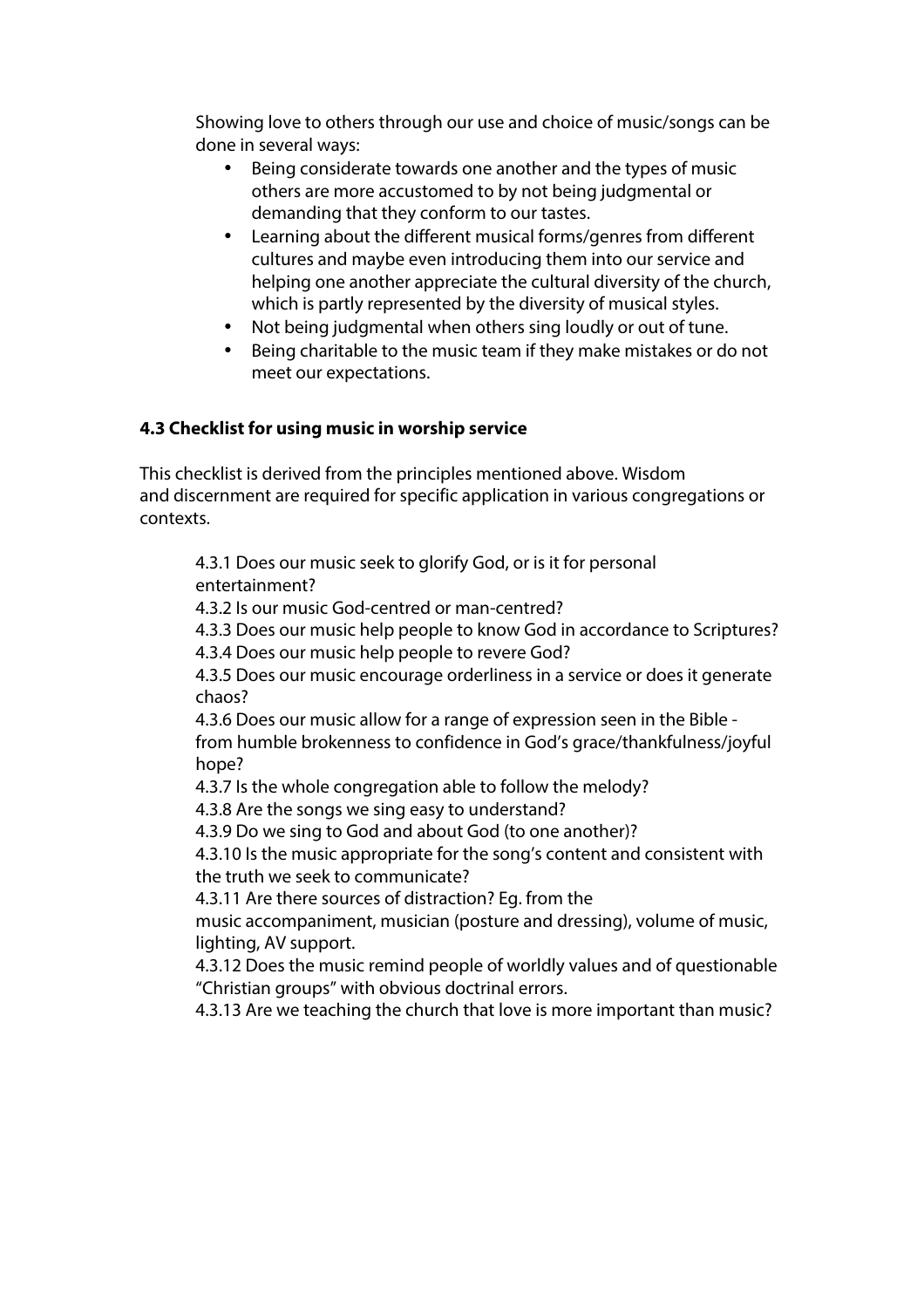Showing love to others through our use and choice of music/songs can be done in several ways:

- Being considerate towards one another and the types of music others are more accustomed to by not being judgmental or demanding that they conform to our tastes.
- Learning about the different musical forms/genres from different cultures and maybe even introducing them into our service and helping one another appreciate the cultural diversity of the church, which is partly represented by the diversity of musical styles.
- Not being judgmental when others sing loudly or out of tune.
- Being charitable to the music team if they make mistakes or do not meet our expectations.

# **4.3 Checklist for using music in worship service**

This checklist is derived from the principles mentioned above. Wisdom and discernment are required for specific application in various congregations or contexts.

4.3.1 Does our music seek to glorify God, or is it for personal entertainment?

4.3.2 Is our music God-centred or man-centred?

4.3.3 Does our music help people to know God in accordance to Scriptures?

4.3.4 Does our music help people to revere God?

4.3.5 Does our music encourage orderliness in a service or does it generate chaos?

4.3.6 Does our music allow for a range of expression seen in the Bible from humble brokenness to confidence in God's grace/thankfulness/joyful hope?

4.3.7 Is the whole congregation able to follow the melody?

4.3.8 Are the songs we sing easy to understand?

4.3.9 Do we sing to God and about God (to one another)?

4.3.10 Is the music appropriate for the song's content and consistent with the truth we seek to communicate?

4.3.11 Are there sources of distraction? Eg. from the

music accompaniment, musician (posture and dressing), volume of music, lighting, AV support.

4.3.12 Does the music remind people of worldly values and of questionable "Christian groups" with obvious doctrinal errors.

4.3.13 Are we teaching the church that love is more important than music?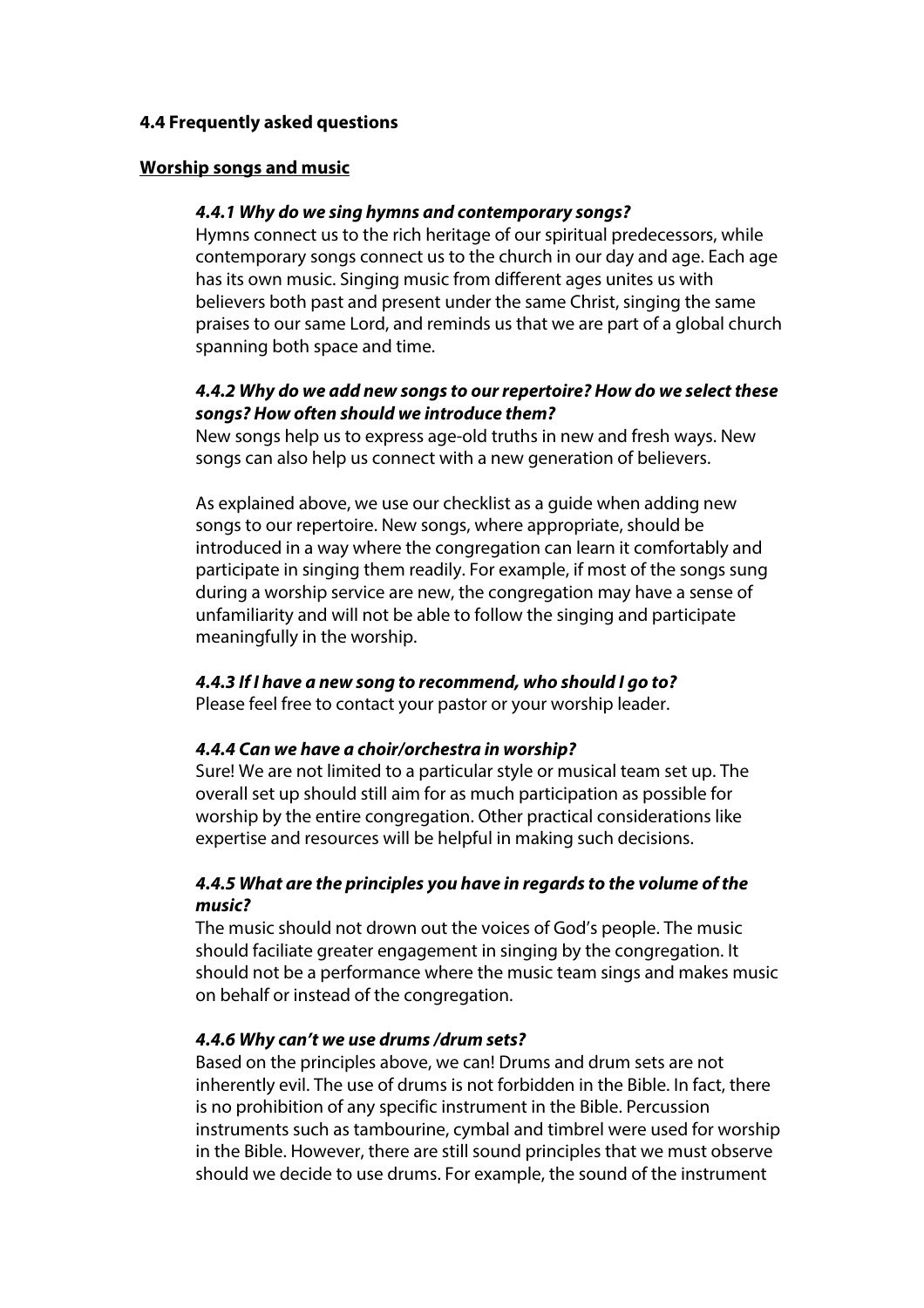### **4.4 Frequently asked questions**

#### **Worship songs and music**

#### *4.4.1 Why do we sing hymns and contemporary songs?*

Hymns connect us to the rich heritage of our spiritual predecessors, while contemporary songs connect us to the church in our day and age. Each age has its own music. Singing music from different ages unites us with believers both past and present under the same Christ, singing the same praises to our same Lord, and reminds us that we are part of a global church spanning both space and time.

### *4.4.2 Why do we add new songs to our repertoire? How do we select these songs? How often should we introduce them?*

New songs help us to express age-old truths in new and fresh ways. New songs can also help us connect with a new generation of believers.

As explained above, we use our checklist as a guide when adding new songs to our repertoire. New songs, where appropriate, should be introduced in a way where the congregation can learn it comfortably and participate in singing them readily. For example, if most of the songs sung during a worship service are new, the congregation may have a sense of unfamiliarity and will not be able to follow the singing and participate meaningfully in the worship.

#### *4.4.3 If I have a new song to recommend, who should I go to?*

Please feel free to contact your pastor or your worship leader.

#### *4.4.4 Can we have a choir/orchestra in worship?*

Sure! We are not limited to a particular style or musical team set up. The overall set up should still aim for as much participation as possible for worship by the entire congregation. Other practical considerations like expertise and resources will be helpful in making such decisions.

### *4.4.5 What are the principles you have in regards to the volume of the music?*

The music should not drown out the voices of God's people. The music should faciliate greater engagement in singing by the congregation. It should not be a performance where the music team sings and makes music on behalf or instead of the congregation.

#### *4.4.6 Why can't we use drums /drum sets?*

Based on the principles above, we can! Drums and drum sets are not inherently evil. The use of drums is not forbidden in the Bible. In fact, there is no prohibition of any specific instrument in the Bible. Percussion instruments such as tambourine, cymbal and timbrel were used for worship in the Bible. However, there are still sound principles that we must observe should we decide to use drums. For example, the sound of the instrument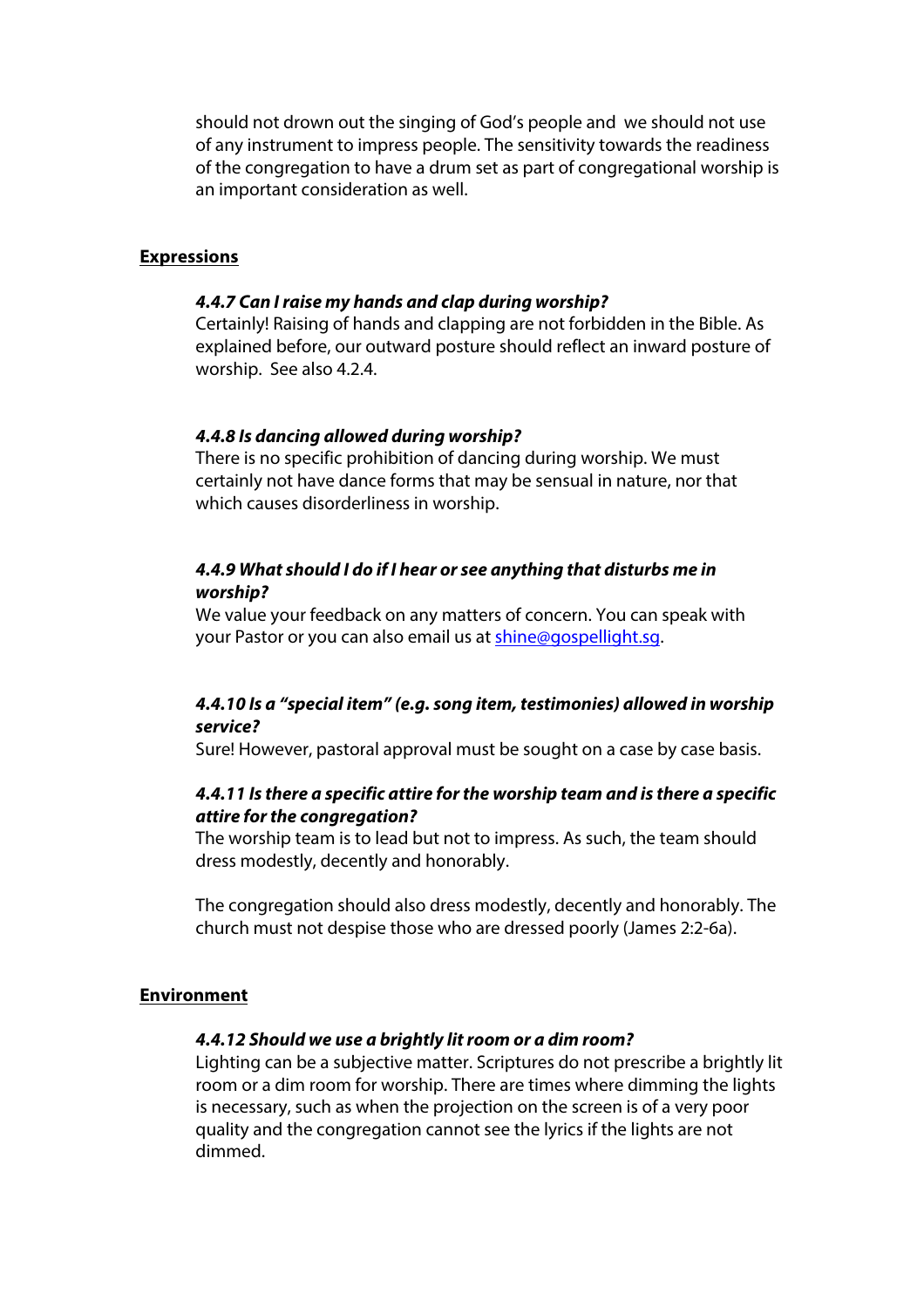should not drown out the singing of God's people and we should not use of any instrument to impress people. The sensitivity towards the readiness of the congregation to have a drum set as part of congregational worship is an important consideration as well.

#### **Expressions**

#### *4.4.7 Can I raise my hands and clap during worship?*

Certainly! Raising of hands and clapping are not forbidden in the Bible. As explained before, our outward posture should reflect an inward posture of worship. See also 4.2.4.

#### *4.4.8 Is dancing allowed during worship?*

There is no specific prohibition of dancing during worship. We must certainly not have dance forms that may be sensual in nature, nor that which causes disorderliness in worship.

### *4.4.9 What should I do if I hear or see anything that disturbs me in worship?*

We value your feedback on any matters of concern. You can speak with your Pastor or you can also email us at shine@gospellight.sg.

### *4.4.10 Is a "special item" (e.g. song item, testimonies) allowed in worship service?*

Sure! However, pastoral approval must be sought on a case by case basis.

### *4.4.11 Is there a specific attire for the worship team and is there a specific attire for the congregation?*

The worship team is to lead but not to impress. As such, the team should dress modestly, decently and honorably.

The congregation should also dress modestly, decently and honorably. The church must not despise those who are dressed poorly (James 2:2-6a).

#### **Environment**

#### *4.4.12 Should we use a brightly lit room or a dim room?*

Lighting can be a subjective matter. Scriptures do not prescribe a brightly lit room or a dim room for worship. There are times where dimming the lights is necessary, such as when the projection on the screen is of a very poor quality and the congregation cannot see the lyrics if the lights are not dimmed.